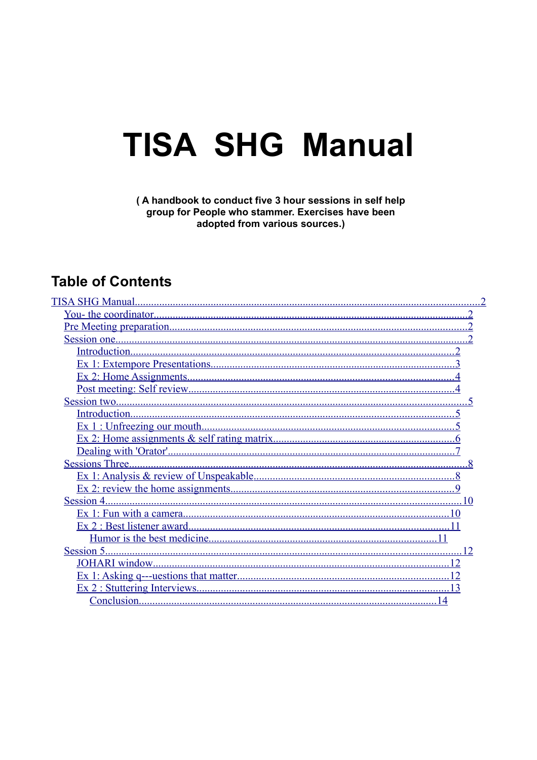# **TISA SHG Manual**

#### (A handbook to conduct five 3 hour sessions in self help group for People who stammer. Exercises have been adopted from various sources.)

## **Table of Contents**

| Session 4. |
|------------|
|            |
|            |
|            |
| Session 5. |
|            |
|            |
|            |
|            |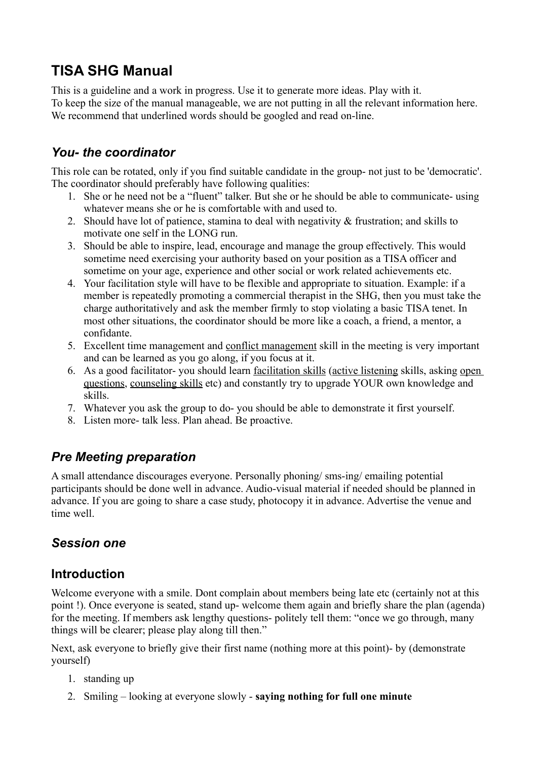## <span id="page-1-4"></span>**TISA SHG Manual**

This is a guideline and a work in progress. Use it to generate more ideas. Play with it. To keep the size of the manual manageable, we are not putting in all the relevant information here. We recommend that underlined words should be googled and read on-line.

## <span id="page-1-3"></span>*You- the coordinator*

This role can be rotated, only if you find suitable candidate in the group- not just to be 'democratic'. The coordinator should preferably have following qualities:

- 1. She or he need not be a "fluent" talker. But she or he should be able to communicate- using whatever means she or he is comfortable with and used to.
- 2. Should have lot of patience, stamina to deal with negativity & frustration; and skills to motivate one self in the LONG run.
- 3. Should be able to inspire, lead, encourage and manage the group effectively. This would sometime need exercising your authority based on your position as a TISA officer and sometime on your age, experience and other social or work related achievements etc.
- 4. Your facilitation style will have to be flexible and appropriate to situation. Example: if a member is repeatedly promoting a commercial therapist in the SHG, then you must take the charge authoritatively and ask the member firmly to stop violating a basic TISA tenet. In most other situations, the coordinator should be more like a coach, a friend, a mentor, a confidante.
- 5. Excellent time management and conflict management skill in the meeting is very important and can be learned as you go along, if you focus at it.
- 6. As a good facilitator- you should learn facilitation skills (active listening skills, asking open questions, counseling skills etc) and constantly try to upgrade YOUR own knowledge and skills.
- 7. Whatever you ask the group to do- you should be able to demonstrate it first yourself.
- 8. Listen more- talk less. Plan ahead. Be proactive.

## <span id="page-1-2"></span>*Pre Meeting preparation*

A small attendance discourages everyone. Personally phoning/ sms-ing/ emailing potential participants should be done well in advance. Audio-visual material if needed should be planned in advance. If you are going to share a case study, photocopy it in advance. Advertise the venue and time well.

## <span id="page-1-1"></span>*Session one*

## <span id="page-1-0"></span>**Introduction**

Welcome everyone with a smile. Dont complain about members being late etc (certainly not at this point !). Once everyone is seated, stand up- welcome them again and briefly share the plan (agenda) for the meeting. If members ask lengthy questions- politely tell them: "once we go through, many things will be clearer; please play along till then."

Next, ask everyone to briefly give their first name (nothing more at this point)- by (demonstrate yourself)

- 1. standing up
- 2. Smiling looking at everyone slowly **saying nothing for full one minute**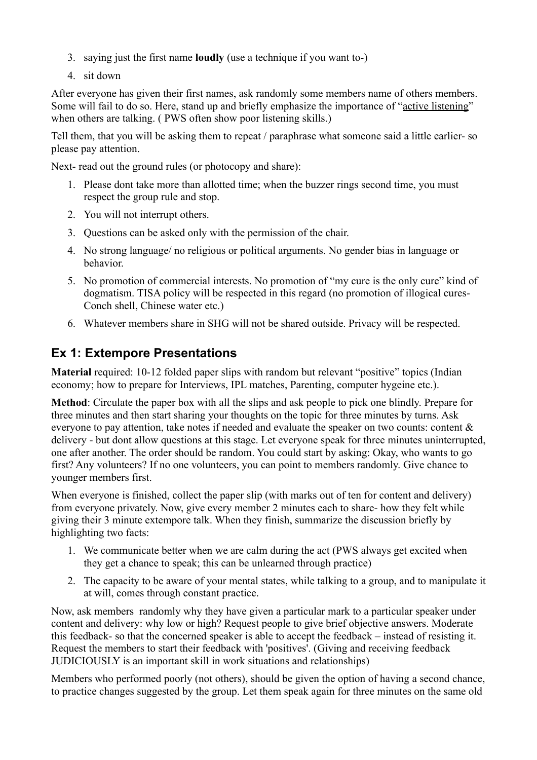- 3. saying just the first name **loudly** (use a technique if you want to-)
- 4. sit down

After everyone has given their first names, ask randomly some members name of others members. Some will fail to do so. Here, stand up and briefly emphasize the importance of "active listening" when others are talking. (PWS often show poor listening skills.)

Tell them, that you will be asking them to repeat / paraphrase what someone said a little earlier- so please pay attention.

Next- read out the ground rules (or photocopy and share):

- 1. Please dont take more than allotted time; when the buzzer rings second time, you must respect the group rule and stop.
- 2. You will not interrupt others.
- 3. Questions can be asked only with the permission of the chair.
- 4. No strong language/ no religious or political arguments. No gender bias in language or behavior.
- 5. No promotion of commercial interests. No promotion of "my cure is the only cure" kind of dogmatism. TISA policy will be respected in this regard (no promotion of illogical cures-Conch shell, Chinese water etc.)
- 6. Whatever members share in SHG will not be shared outside. Privacy will be respected.

## <span id="page-2-0"></span>**Ex 1: Extempore Presentations**

**Material** required: 10-12 folded paper slips with random but relevant "positive" topics (Indian economy; how to prepare for Interviews, IPL matches, Parenting, computer hygeine etc.).

**Method**: Circulate the paper box with all the slips and ask people to pick one blindly. Prepare for three minutes and then start sharing your thoughts on the topic for three minutes by turns. Ask everyone to pay attention, take notes if needed and evaluate the speaker on two counts: content & delivery - but dont allow questions at this stage. Let everyone speak for three minutes uninterrupted, one after another. The order should be random. You could start by asking: Okay, who wants to go first? Any volunteers? If no one volunteers, you can point to members randomly. Give chance to younger members first.

When everyone is finished, collect the paper slip (with marks out of ten for content and delivery) from everyone privately. Now, give every member 2 minutes each to share- how they felt while giving their 3 minute extempore talk. When they finish, summarize the discussion briefly by highlighting two facts:

- 1. We communicate better when we are calm during the act (PWS always get excited when they get a chance to speak; this can be unlearned through practice)
- 2. The capacity to be aware of your mental states, while talking to a group, and to manipulate it at will, comes through constant practice.

Now, ask members randomly why they have given a particular mark to a particular speaker under content and delivery: why low or high? Request people to give brief objective answers. Moderate this feedback- so that the concerned speaker is able to accept the feedback – instead of resisting it. Request the members to start their feedback with 'positives'. (Giving and receiving feedback JUDICIOUSLY is an important skill in work situations and relationships)

Members who performed poorly (not others), should be given the option of having a second chance, to practice changes suggested by the group. Let them speak again for three minutes on the same old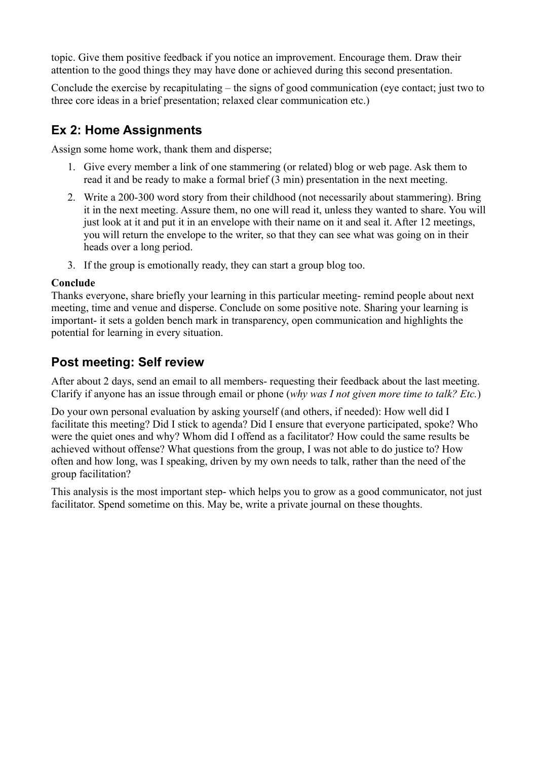topic. Give them positive feedback if you notice an improvement. Encourage them. Draw their attention to the good things they may have done or achieved during this second presentation.

Conclude the exercise by recapitulating – the signs of good communication (eye contact; just two to three core ideas in a brief presentation; relaxed clear communication etc.)

## <span id="page-3-1"></span>**Ex 2: Home Assignments**

Assign some home work, thank them and disperse;

- 1. Give every member a link of one stammering (or related) blog or web page. Ask them to read it and be ready to make a formal brief (3 min) presentation in the next meeting.
- 2. Write a 200-300 word story from their childhood (not necessarily about stammering). Bring it in the next meeting. Assure them, no one will read it, unless they wanted to share. You will just look at it and put it in an envelope with their name on it and seal it. After 12 meetings, you will return the envelope to the writer, so that they can see what was going on in their heads over a long period.
- 3. If the group is emotionally ready, they can start a group blog too.

#### **Conclude**

Thanks everyone, share briefly your learning in this particular meeting- remind people about next meeting, time and venue and disperse. Conclude on some positive note. Sharing your learning is important- it sets a golden bench mark in transparency, open communication and highlights the potential for learning in every situation.

## <span id="page-3-0"></span>**Post meeting: Self review**

After about 2 days, send an email to all members- requesting their feedback about the last meeting. Clarify if anyone has an issue through email or phone (*why was I not given more time to talk? Etc.*)

Do your own personal evaluation by asking yourself (and others, if needed): How well did I facilitate this meeting? Did I stick to agenda? Did I ensure that everyone participated, spoke? Who were the quiet ones and why? Whom did I offend as a facilitator? How could the same results be achieved without offense? What questions from the group, I was not able to do justice to? How often and how long, was I speaking, driven by my own needs to talk, rather than the need of the group facilitation?

This analysis is the most important step- which helps you to grow as a good communicator, not just facilitator. Spend sometime on this. May be, write a private journal on these thoughts.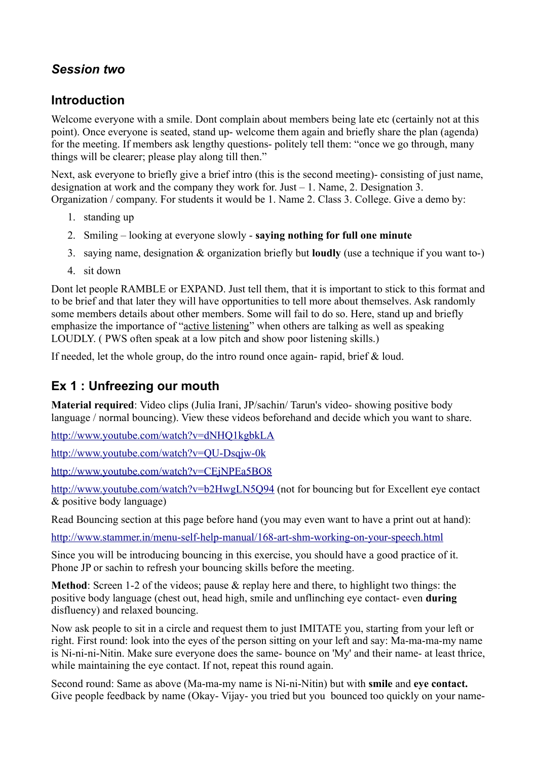## <span id="page-4-2"></span>*Session two*

## <span id="page-4-1"></span>**Introduction**

Welcome everyone with a smile. Dont complain about members being late etc (certainly not at this point). Once everyone is seated, stand up- welcome them again and briefly share the plan (agenda) for the meeting. If members ask lengthy questions- politely tell them: "once we go through, many things will be clearer; please play along till then."

Next, ask everyone to briefly give a brief intro (this is the second meeting)- consisting of just name, designation at work and the company they work for. Just – 1. Name, 2. Designation 3. Organization / company. For students it would be 1. Name 2. Class 3. College. Give a demo by:

- 1. standing up
- 2. Smiling looking at everyone slowly **saying nothing for full one minute**
- 3. saying name, designation & organization briefly but **loudly** (use a technique if you want to-)
- 4. sit down

Dont let people RAMBLE or EXPAND. Just tell them, that it is important to stick to this format and to be brief and that later they will have opportunities to tell more about themselves. Ask randomly some members details about other members. Some will fail to do so. Here, stand up and briefly emphasize the importance of "active listening" when others are talking as well as speaking LOUDLY. ( PWS often speak at a low pitch and show poor listening skills.)

If needed, let the whole group, do the intro round once again- rapid, brief & loud.

## <span id="page-4-0"></span>**Ex 1 : Unfreezing our mouth**

**Material required**: Video clips (Julia Irani, JP/sachin/ Tarun's video- showing positive body language / normal bouncing). View these videos beforehand and decide which you want to share.

<http://www.youtube.com/watch?v=dNHQ1kgbkLA>

<http://www.youtube.com/watch?v=QU-Dsqjw-0k>

<http://www.youtube.com/watch?v=CEjNPEa5BO8>

<http://www.youtube.com/watch?v=b2HwgLN5Q94>(not for bouncing but for Excellent eye contact & positive body language)

Read Bouncing section at this page before hand (you may even want to have a print out at hand):

<http://www.stammer.in/menu-self-help-manual/168-art-shm-working-on-your-speech.html>

Since you will be introducing bouncing in this exercise, you should have a good practice of it. Phone JP or sachin to refresh your bouncing skills before the meeting.

**Method**: Screen 1-2 of the videos; pause & replay here and there, to highlight two things: the positive body language (chest out, head high, smile and unflinching eye contact- even **during** disfluency) and relaxed bouncing.

Now ask people to sit in a circle and request them to just IMITATE you, starting from your left or right. First round: look into the eyes of the person sitting on your left and say: Ma-ma-ma-my name is Ni-ni-ni-Nitin. Make sure everyone does the same- bounce on 'My' and their name- at least thrice, while maintaining the eye contact. If not, repeat this round again.

Second round: Same as above (Ma-ma-my name is Ni-ni-Nitin) but with **smile** and **eye contact.** Give people feedback by name (Okay- Vijay- you tried but you bounced too quickly on your name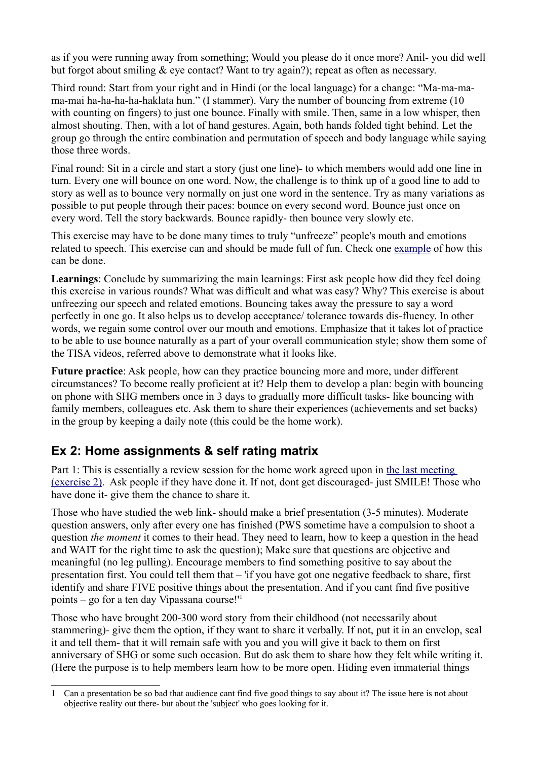as if you were running away from something; Would you please do it once more? Anil- you did well but forgot about smiling & eye contact? Want to try again?); repeat as often as necessary.

Third round: Start from your right and in Hindi (or the local language) for a change: "Ma-ma-mama-mai ha-ha-ha-ha-haklata hun." (I stammer). Vary the number of bouncing from extreme (10 with counting on fingers) to just one bounce. Finally with smile. Then, same in a low whisper, then almost shouting. Then, with a lot of hand gestures. Again, both hands folded tight behind. Let the group go through the entire combination and permutation of speech and body language while saying those three words.

Final round: Sit in a circle and start a story (just one line)- to which members would add one line in turn. Every one will bounce on one word. Now, the challenge is to think up of a good line to add to story as well as to bounce very normally on just one word in the sentence. Try as many variations as possible to put people through their paces: bounce on every second word. Bounce just once on every word. Tell the story backwards. Bounce rapidly- then bounce very slowly etc.

This exercise may have to be done many times to truly "unfreeze" people's mouth and emotions related to speech. This exercise can and should be made full of fun. Check one [example](http://t-tisa.blogspot.com/2009/02/gabbar-jai-and-biru-in-herbertpur.html) of how this can be done.

**Learnings**: Conclude by summarizing the main learnings: First ask people how did they feel doing this exercise in various rounds? What was difficult and what was easy? Why? This exercise is about unfreezing our speech and related emotions. Bouncing takes away the pressure to say a word perfectly in one go. It also helps us to develop acceptance/ tolerance towards dis-fluency. In other words, we regain some control over our mouth and emotions. Emphasize that it takes lot of practice to be able to use bounce naturally as a part of your overall communication style; show them some of the TISA videos, referred above to demonstrate what it looks like.

**Future practice**: Ask people, how can they practice bouncing more and more, under different circumstances? To become really proficient at it? Help them to develop a plan: begin with bouncing on phone with SHG members once in 3 days to gradually more difficult tasks- like bouncing with family members, colleagues etc. Ask them to share their experiences (achievements and set backs) in the group by keeping a daily note (this could be the home work).

## <span id="page-5-0"></span>**Ex 2: Home assignments & self rating matrix**

Part 1: This is essentially a review session for the home work agreed upon in [the last meeting](#page-3-1) [\(exercise 2\).](#page-3-1) Ask people if they have done it. If not, dont get discouraged- just SMILE! Those who have done it- give them the chance to share it.

Those who have studied the web link- should make a brief presentation (3-5 minutes). Moderate question answers, only after every one has finished (PWS sometime have a compulsion to shoot a question *the moment* it comes to their head. They need to learn, how to keep a question in the head and WAIT for the right time to ask the question); Make sure that questions are objective and meaningful (no leg pulling). Encourage members to find something positive to say about the presentation first. You could tell them that – 'if you have got one negative feedback to share, first identify and share FIVE positive things about the presentation. And if you cant find five positive points – go for a ten day Vipassana course!['1](#page-5-1)

Those who have brought 200-300 word story from their childhood (not necessarily about stammering)- give them the option, if they want to share it verbally. If not, put it in an envelop, seal it and tell them- that it will remain safe with you and you will give it back to them on first anniversary of SHG or some such occasion. But do ask them to share how they felt while writing it. (Here the purpose is to help members learn how to be more open. Hiding even immaterial things

<span id="page-5-1"></span><sup>1</sup> Can a presentation be so bad that audience cant find five good things to say about it? The issue here is not about objective reality out there- but about the 'subject' who goes looking for it.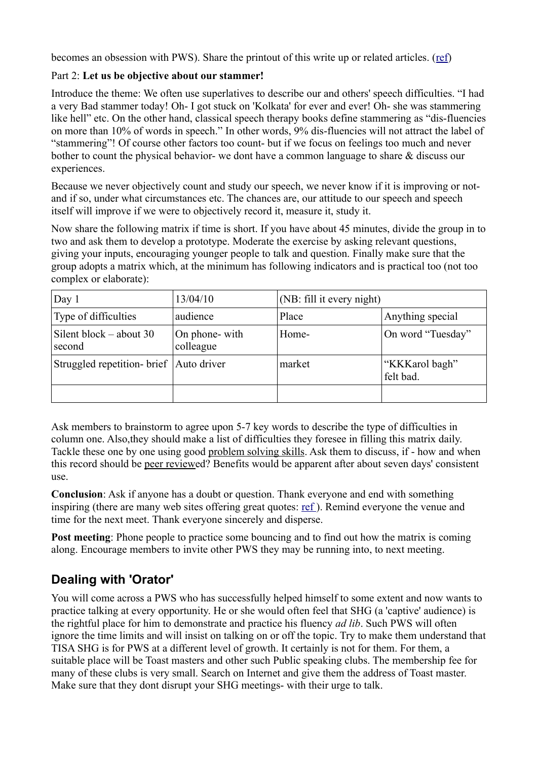becomes an obsession with PWS). Share the printout of this write up or related articles. [\(ref\)](http://stammer.in/articles/38-cat-stuttering-related/293-write-to-health.html)

#### Part 2: **Let us be objective about our stammer!**

Introduce the theme: We often use superlatives to describe our and others' speech difficulties. "I had a very Bad stammer today! Oh- I got stuck on 'Kolkata' for ever and ever! Oh- she was stammering like hell" etc. On the other hand, classical speech therapy books define stammering as "dis-fluencies" on more than 10% of words in speech." In other words, 9% dis-fluencies will not attract the label of "stammering"! Of course other factors too count- but if we focus on feelings too much and never bother to count the physical behavior- we dont have a common language to share & discuss our experiences.

Because we never objectively count and study our speech, we never know if it is improving or notand if so, under what circumstances etc. The chances are, our attitude to our speech and speech itself will improve if we were to objectively record it, measure it, study it.

Now share the following matrix if time is short. If you have about 45 minutes, divide the group in to two and ask them to develop a prototype. Moderate the exercise by asking relevant questions, giving your inputs, encouraging younger people to talk and question. Finally make sure that the group adopts a matrix which, at the minimum has following indicators and is practical too (not too complex or elaborate):

<span id="page-6-1"></span>

| Day 1                                     | 13/04/10                    | (NB: fill it every night) |                             |
|-------------------------------------------|-----------------------------|---------------------------|-----------------------------|
| Type of difficulties                      | audience                    | Place                     | Anything special            |
| Silent block $-$ about 30<br>second       | On phone- with<br>colleague | Home-                     | On word "Tuesday"           |
| Struggled repetition- brief   Auto driver |                             | market                    | "KKKarol bagh"<br>felt bad. |
|                                           |                             |                           |                             |

Ask members to brainstorm to agree upon 5-7 key words to describe the type of difficulties in column one. Also,they should make a list of difficulties they foresee in filling this matrix daily. Tackle these one by one using good problem solving skills. Ask them to discuss, if - how and when this record should be peer reviewed? Benefits would be apparent after about seven days' consistent use.

**Conclusion**: Ask if anyone has a doubt or question. Thank everyone and end with something inspiring (there are many web sites offering great quotes: [ref \)](http://www.my-inspirational-quotes.com/). Remind everyone the venue and time for the next meet. Thank everyone sincerely and disperse.

**Post meeting**: Phone people to practice some bouncing and to find out how the matrix is coming along. Encourage members to invite other PWS they may be running into, to next meeting.

## <span id="page-6-0"></span>**Dealing with 'Orator'**

You will come across a PWS who has successfully helped himself to some extent and now wants to practice talking at every opportunity. He or she would often feel that SHG (a 'captive' audience) is the rightful place for him to demonstrate and practice his fluency *ad lib*. Such PWS will often ignore the time limits and will insist on talking on or off the topic. Try to make them understand that TISA SHG is for PWS at a different level of growth. It certainly is not for them. For them, a suitable place will be Toast masters and other such Public speaking clubs. The membership fee for many of these clubs is very small. Search on Internet and give them the address of Toast master. Make sure that they dont disrupt your SHG meetings- with their urge to talk.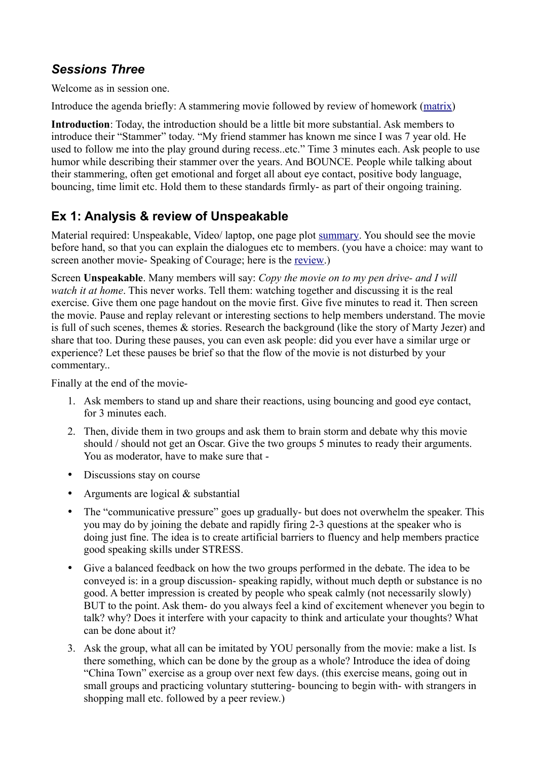## <span id="page-7-1"></span>*Sessions Three*

Welcome as in session one.

Introduce the agenda briefly: A stammering movie followed by review of homework [\(matrix\)](#page-6-1)

**Introduction**: Today, the introduction should be a little bit more substantial. Ask members to introduce their "Stammer" today. "My friend stammer has known me since I was 7 year old. He used to follow me into the play ground during recess..etc." Time 3 minutes each. Ask people to use humor while describing their stammer over the years. And BOUNCE. People while talking about their stammering, often get emotional and forget all about eye contact, positive body language, bouncing, time limit etc. Hold them to these standards firmly- as part of their ongoing training.

## <span id="page-7-0"></span>**Ex 1: Analysis & review of Unspeakable**

Material required: Unspeakable, Video/ laptop, one page plot [summary.](http://stammer.in/articles/38-cat-stuttering-related/289-unspeakable-movie-review.html) You should see the movie before hand, so that you can explain the dialogues etc to members. (you have a choice: may want to screen another movie- Speaking of Courage; here is the [review.](http://stammer.in/articles/38-cat-stuttering-related/290-speaking-of-courage-movie-reveiw.html))

Screen **Unspeakable**. Many members will say: *Copy the movie on to my pen drive- and I will watch it at home*. This never works. Tell them: watching together and discussing it is the real exercise. Give them one page handout on the movie first. Give five minutes to read it. Then screen the movie. Pause and replay relevant or interesting sections to help members understand. The movie is full of such scenes, themes & stories. Research the background (like the story of Marty Jezer) and share that too. During these pauses, you can even ask people: did you ever have a similar urge or experience? Let these pauses be brief so that the flow of the movie is not disturbed by your commentary..

Finally at the end of the movie-

- 1. Ask members to stand up and share their reactions, using bouncing and good eye contact, for 3 minutes each.
- 2. Then, divide them in two groups and ask them to brain storm and debate why this movie should / should not get an Oscar. Give the two groups 5 minutes to ready their arguments. You as moderator, have to make sure that -
- Discussions stay on course
- Arguments are logical & substantial
- The "communicative pressure" goes up gradually- but does not overwhelm the speaker. This you may do by joining the debate and rapidly firing 2-3 questions at the speaker who is doing just fine. The idea is to create artificial barriers to fluency and help members practice good speaking skills under STRESS.
- Give a balanced feedback on how the two groups performed in the debate. The idea to be conveyed is: in a group discussion- speaking rapidly, without much depth or substance is no good. A better impression is created by people who speak calmly (not necessarily slowly) BUT to the point. Ask them- do you always feel a kind of excitement whenever you begin to talk? why? Does it interfere with your capacity to think and articulate your thoughts? What can be done about it?
- 3. Ask the group, what all can be imitated by YOU personally from the movie: make a list. Is there something, which can be done by the group as a whole? Introduce the idea of doing "China Town" exercise as a group over next few days. (this exercise means, going out in small groups and practicing voluntary stuttering- bouncing to begin with- with strangers in shopping mall etc. followed by a peer review.)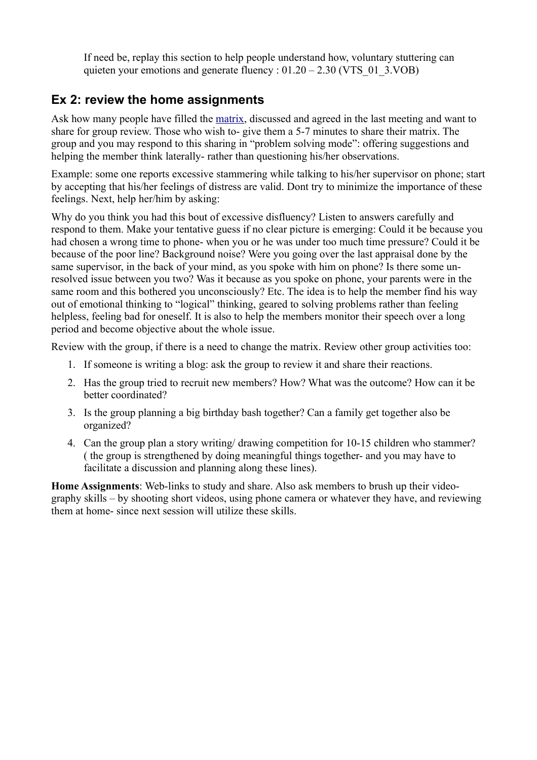If need be, replay this section to help people understand how, voluntary stuttering can quieten your emotions and generate fluency :  $01.20 - 2.30$  (VTS  $01\,3.VOB)$ )

### <span id="page-8-0"></span>**Ex 2: review the home assignments**

Ask how many people have filled the [matrix,](#page-6-1) discussed and agreed in the last meeting and want to share for group review. Those who wish to- give them a 5-7 minutes to share their matrix. The group and you may respond to this sharing in "problem solving mode": offering suggestions and helping the member think laterally- rather than questioning his/her observations.

Example: some one reports excessive stammering while talking to his/her supervisor on phone; start by accepting that his/her feelings of distress are valid. Dont try to minimize the importance of these feelings. Next, help her/him by asking:

Why do you think you had this bout of excessive disfluency? Listen to answers carefully and respond to them. Make your tentative guess if no clear picture is emerging: Could it be because you had chosen a wrong time to phone- when you or he was under too much time pressure? Could it be because of the poor line? Background noise? Were you going over the last appraisal done by the same supervisor, in the back of your mind, as you spoke with him on phone? Is there some unresolved issue between you two? Was it because as you spoke on phone, your parents were in the same room and this bothered you unconsciously? Etc. The idea is to help the member find his way out of emotional thinking to "logical" thinking, geared to solving problems rather than feeling helpless, feeling bad for oneself. It is also to help the members monitor their speech over a long period and become objective about the whole issue.

Review with the group, if there is a need to change the matrix. Review other group activities too:

- 1. If someone is writing a blog: ask the group to review it and share their reactions.
- 2. Has the group tried to recruit new members? How? What was the outcome? How can it be better coordinated?
- 3. Is the group planning a big birthday bash together? Can a family get together also be organized?
- 4. Can the group plan a story writing/ drawing competition for 10-15 children who stammer? ( the group is strengthened by doing meaningful things together- and you may have to facilitate a discussion and planning along these lines).

**Home Assignments**: Web-links to study and share. Also ask members to brush up their videography skills – by shooting short videos, using phone camera or whatever they have, and reviewing them at home- since next session will utilize these skills.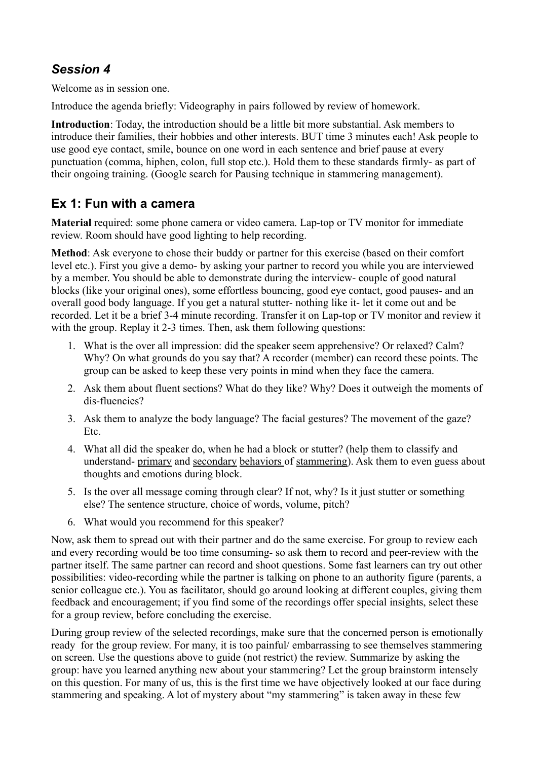## <span id="page-9-1"></span>*Session 4*

Welcome as in session one.

Introduce the agenda briefly: Videography in pairs followed by review of homework.

**Introduction**: Today, the introduction should be a little bit more substantial. Ask members to introduce their families, their hobbies and other interests. BUT time 3 minutes each! Ask people to use good eye contact, smile, bounce on one word in each sentence and brief pause at every punctuation (comma, hiphen, colon, full stop etc.). Hold them to these standards firmly- as part of their ongoing training. (Google search for Pausing technique in stammering management).

## <span id="page-9-0"></span>**Ex 1: Fun with a camera**

**Material** required: some phone camera or video camera. Lap-top or TV monitor for immediate review. Room should have good lighting to help recording.

**Method**: Ask everyone to chose their buddy or partner for this exercise (based on their comfort level etc.). First you give a demo- by asking your partner to record you while you are interviewed by a member. You should be able to demonstrate during the interview- couple of good natural blocks (like your original ones), some effortless bouncing, good eye contact, good pauses- and an overall good body language. If you get a natural stutter- nothing like it- let it come out and be recorded. Let it be a brief 3-4 minute recording. Transfer it on Lap-top or TV monitor and review it with the group. Replay it 2-3 times. Then, ask them following questions:

- 1. What is the over all impression: did the speaker seem apprehensive? Or relaxed? Calm? Why? On what grounds do you say that? A recorder (member) can record these points. The group can be asked to keep these very points in mind when they face the camera.
- 2. Ask them about fluent sections? What do they like? Why? Does it outweigh the moments of dis-fluencies?
- 3. Ask them to analyze the body language? The facial gestures? The movement of the gaze? Etc.
- 4. What all did the speaker do, when he had a block or stutter? (help them to classify and understand- primary and secondary behaviors of stammering). Ask them to even guess about thoughts and emotions during block.
- 5. Is the over all message coming through clear? If not, why? Is it just stutter or something else? The sentence structure, choice of words, volume, pitch?
- 6. What would you recommend for this speaker?

Now, ask them to spread out with their partner and do the same exercise. For group to review each and every recording would be too time consuming- so ask them to record and peer-review with the partner itself. The same partner can record and shoot questions. Some fast learners can try out other possibilities: video-recording while the partner is talking on phone to an authority figure (parents, a senior colleague etc.). You as facilitator, should go around looking at different couples, giving them feedback and encouragement; if you find some of the recordings offer special insights, select these for a group review, before concluding the exercise.

During group review of the selected recordings, make sure that the concerned person is emotionally ready for the group review. For many, it is too painful/ embarrassing to see themselves stammering on screen. Use the questions above to guide (not restrict) the review. Summarize by asking the group: have you learned anything new about your stammering? Let the group brainstorm intensely on this question. For many of us, this is the first time we have objectively looked at our face during stammering and speaking. A lot of mystery about "my stammering" is taken away in these few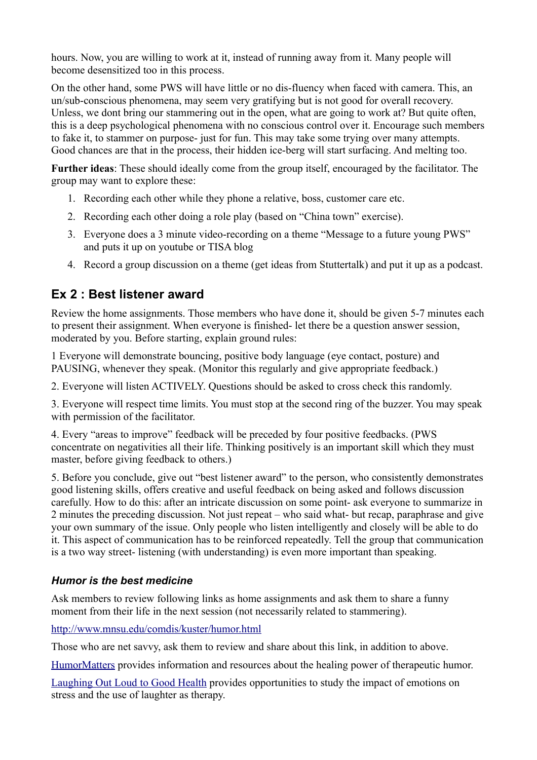hours. Now, you are willing to work at it, instead of running away from it. Many people will become desensitized too in this process.

On the other hand, some PWS will have little or no dis-fluency when faced with camera. This, an un/sub-conscious phenomena, may seem very gratifying but is not good for overall recovery. Unless, we dont bring our stammering out in the open, what are going to work at? But quite often, this is a deep psychological phenomena with no conscious control over it. Encourage such members to fake it, to stammer on purpose- just for fun. This may take some trying over many attempts. Good chances are that in the process, their hidden ice-berg will start surfacing. And melting too.

**Further ideas**: These should ideally come from the group itself, encouraged by the facilitator. The group may want to explore these:

- 1. Recording each other while they phone a relative, boss, customer care etc.
- 2. Recording each other doing a role play (based on "China town" exercise).
- 3. Everyone does a 3 minute video-recording on a theme "Message to a future young PWS" and puts it up on youtube or TISA blog
- 4. Record a group discussion on a theme (get ideas from Stuttertalk) and put it up as a podcast.

## <span id="page-10-1"></span>**Ex 2 : Best listener award**

Review the home assignments. Those members who have done it, should be given 5-7 minutes each to present their assignment. When everyone is finished- let there be a question answer session, moderated by you. Before starting, explain ground rules:

1 Everyone will demonstrate bouncing, positive body language (eye contact, posture) and PAUSING, whenever they speak. (Monitor this regularly and give appropriate feedback.)

2. Everyone will listen ACTIVELY. Questions should be asked to cross check this randomly.

3. Everyone will respect time limits. You must stop at the second ring of the buzzer. You may speak with permission of the facilitator.

4. Every "areas to improve" feedback will be preceded by four positive feedbacks. (PWS concentrate on negativities all their life. Thinking positively is an important skill which they must master, before giving feedback to others.)

5. Before you conclude, give out "best listener award" to the person, who consistently demonstrates good listening skills, offers creative and useful feedback on being asked and follows discussion carefully. How to do this: after an intricate discussion on some point- ask everyone to summarize in 2 minutes the preceding discussion. Not just repeat – who said what- but recap, paraphrase and give your own summary of the issue. Only people who listen intelligently and closely will be able to do it. This aspect of communication has to be reinforced repeatedly. Tell the group that communication is a two way street- listening (with understanding) is even more important than speaking.

#### <span id="page-10-0"></span>*Humor is the best medicine*

Ask members to review following links as home assignments and ask them to share a funny moment from their life in the next session (not necessarily related to stammering).

<http://www.mnsu.edu/comdis/kuster/humor.html>

Those who are net savvy, ask them to review and share about this link, in addition to above.

[HumorMatters](http://www.humormatters.com/) provides information and resources about the healing power of therapeutic humor.

[Laughing Out Loud to Good Health](http://library.thinkquest.org/25500/index2.htm) provides opportunities to study the impact of emotions on stress and the use of laughter as therapy.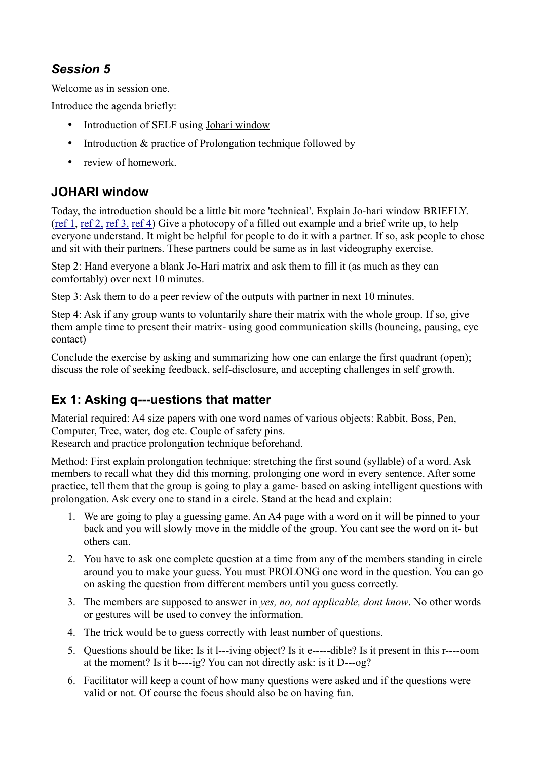## <span id="page-11-2"></span>*Session 5*

Welcome as in session one.

Introduce the agenda briefly:

- Introduction of SELF using Johari window
- Introduction & practice of Prolongation technique followed by
- review of homework

## <span id="page-11-1"></span>**JOHARI window**

Today, the introduction should be a little bit more 'technical'. Explain Jo-hari window BRIEFLY. [\(ref 1,](http://www.mindtools.com/CommSkll/JohariWindow.htm) [ref 2,](http://www.teleometrics.com/info/resources_johari.html) [ref 3,](http://www.noogenesis.com/game_theory/johari/johari_window.html) [ref 4\)](http://www.roadtowellbeing.ca/expression.html) Give a photocopy of a filled out example and a brief write up, to help everyone understand. It might be helpful for people to do it with a partner. If so, ask people to chose and sit with their partners. These partners could be same as in last videography exercise.

Step 2: Hand everyone a blank Jo-Hari matrix and ask them to fill it (as much as they can comfortably) over next 10 minutes.

Step 3: Ask them to do a peer review of the outputs with partner in next 10 minutes.

Step 4: Ask if any group wants to voluntarily share their matrix with the whole group. If so, give them ample time to present their matrix- using good communication skills (bouncing, pausing, eye contact)

Conclude the exercise by asking and summarizing how one can enlarge the first quadrant (open); discuss the role of seeking feedback, self-disclosure, and accepting challenges in self growth.

## <span id="page-11-0"></span>**Ex 1: Asking q---uestions that matter**

Material required: A4 size papers with one word names of various objects: Rabbit, Boss, Pen, Computer, Tree, water, dog etc. Couple of safety pins.

Research and practice prolongation technique beforehand.

Method: First explain prolongation technique: stretching the first sound (syllable) of a word. Ask members to recall what they did this morning, prolonging one word in every sentence. After some practice, tell them that the group is going to play a game- based on asking intelligent questions with prolongation. Ask every one to stand in a circle. Stand at the head and explain:

- 1. We are going to play a guessing game. An A4 page with a word on it will be pinned to your back and you will slowly move in the middle of the group. You cant see the word on it- but others can.
- 2. You have to ask one complete question at a time from any of the members standing in circle around you to make your guess. You must PROLONG one word in the question. You can go on asking the question from different members until you guess correctly.
- 3. The members are supposed to answer in *yes, no, not applicable, dont know*. No other words or gestures will be used to convey the information.
- 4. The trick would be to guess correctly with least number of questions.
- 5. Questions should be like: Is it l---iving object? Is it e-----dible? Is it present in this r----oom at the moment? Is it b----ig? You can not directly ask: is it D---og?
- 6. Facilitator will keep a count of how many questions were asked and if the questions were valid or not. Of course the focus should also be on having fun.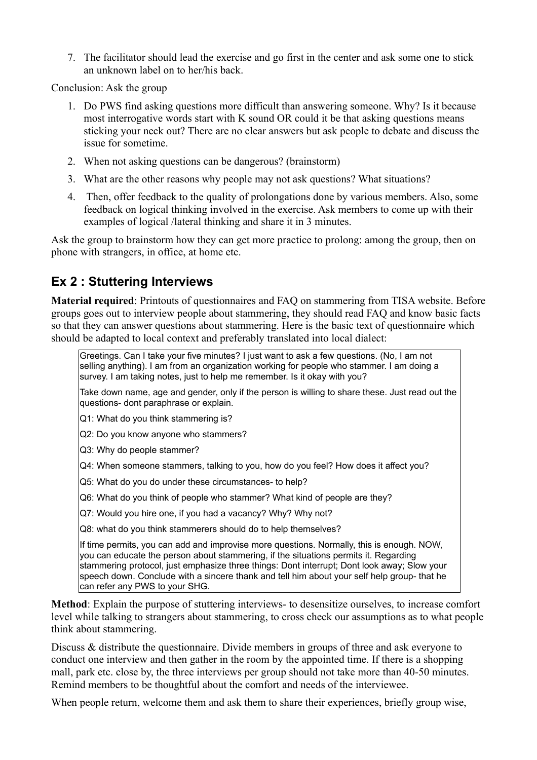7. The facilitator should lead the exercise and go first in the center and ask some one to stick an unknown label on to her/his back.

Conclusion: Ask the group

- 1. Do PWS find asking questions more difficult than answering someone. Why? Is it because most interrogative words start with K sound OR could it be that asking questions means sticking your neck out? There are no clear answers but ask people to debate and discuss the issue for sometime.
- 2. When not asking questions can be dangerous? (brainstorm)
- 3. What are the other reasons why people may not ask questions? What situations?
- 4. Then, offer feedback to the quality of prolongations done by various members. Also, some feedback on logical thinking involved in the exercise. Ask members to come up with their examples of logical /lateral thinking and share it in 3 minutes.

Ask the group to brainstorm how they can get more practice to prolong: among the group, then on phone with strangers, in office, at home etc.

## <span id="page-12-0"></span>**Ex 2 : Stuttering Interviews**

**Material required**: Printouts of questionnaires and FAQ on stammering from TISA website. Before groups goes out to interview people about stammering, they should read FAQ and know basic facts so that they can answer questions about stammering. Here is the basic text of questionnaire which should be adapted to local context and preferably translated into local dialect:

Greetings. Can I take your five minutes? I just want to ask a few questions. (No, I am not selling anything). I am from an organization working for people who stammer. I am doing a survey. I am taking notes, just to help me remember. Is it okay with you?

Take down name, age and gender, only if the person is willing to share these. Just read out the questions- dont paraphrase or explain.

Q1: What do you think stammering is?

Q2: Do you know anyone who stammers?

Q3: Why do people stammer?

Q4: When someone stammers, talking to you, how do you feel? How does it affect you?

Q5: What do you do under these circumstances- to help?

Q6: What do you think of people who stammer? What kind of people are they?

Q7: Would you hire one, if you had a vacancy? Why? Why not?

Q8: what do you think stammerers should do to help themselves?

If time permits, you can add and improvise more questions. Normally, this is enough. NOW, you can educate the person about stammering, if the situations permits it. Regarding stammering protocol, just emphasize three things: Dont interrupt; Dont look away; Slow your speech down. Conclude with a sincere thank and tell him about your self help group- that he can refer any PWS to your SHG.

**Method**: Explain the purpose of stuttering interviews- to desensitize ourselves, to increase comfort level while talking to strangers about stammering, to cross check our assumptions as to what people think about stammering.

Discuss & distribute the questionnaire. Divide members in groups of three and ask everyone to conduct one interview and then gather in the room by the appointed time. If there is a shopping mall, park etc. close by, the three interviews per group should not take more than 40-50 minutes. Remind members to be thoughtful about the comfort and needs of the interviewee.

When people return, welcome them and ask them to share their experiences, briefly group wise,